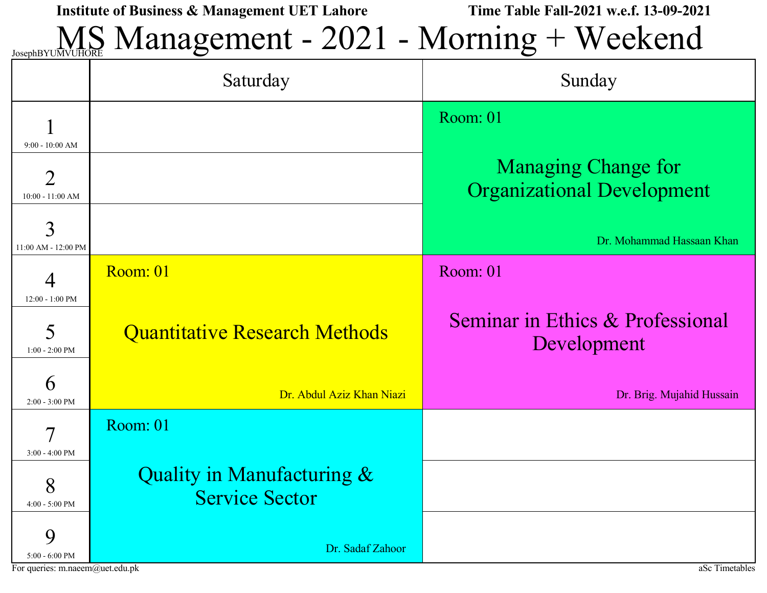MS Management - 2021 - Morning + Weekend

|                                            | Saturday                                            | Sunday                                                          |
|--------------------------------------------|-----------------------------------------------------|-----------------------------------------------------------------|
| $9:00 - 10:00$ AM                          |                                                     | Room: 01                                                        |
| $\overline{2}$<br>$10:00 - 11:00 AM$       |                                                     | <b>Managing Change for</b><br><b>Organizational Development</b> |
| 3<br>11:00 AM - 12:00 PM                   |                                                     | Dr. Mohammad Hassaan Khan                                       |
| $\overline{4}$                             | Room: 01                                            | Room: 01                                                        |
| $12:00 - 1:00$ PM<br>5<br>$1:00 - 2:00$ PM | <b>Quantitative Research Methods</b>                | Seminar in Ethics & Professional<br>Development                 |
| 6<br>$2:00 - 3:00$ PM                      | Dr. Abdul Aziz Khan Niazi                           | Dr. Brig. Mujahid Hussain                                       |
| 7<br>$3:00 - 4:00$ PM                      | Room: 01                                            |                                                                 |
| 8<br>$4:00 - 5:00$ PM                      | Quality in Manufacturing &<br><b>Service Sector</b> |                                                                 |
| 9<br>$5:00 - 6:00$ PM                      | Dr. Sadaf Zahoor                                    |                                                                 |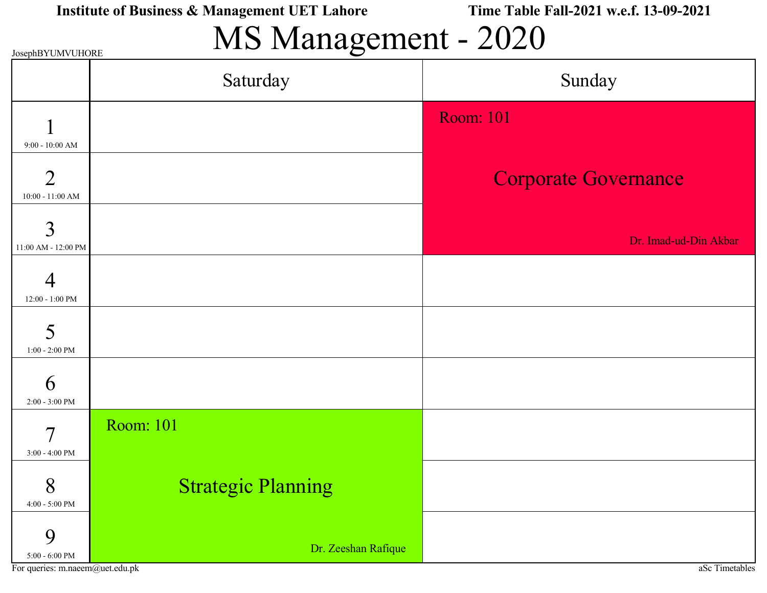# MS Management - 2020

| JosephBYUMVUHORE                                          | $\bigcirc$                |                             |
|-----------------------------------------------------------|---------------------------|-----------------------------|
|                                                           | Saturday                  | Sunday                      |
|                                                           |                           | <b>Room: 101</b>            |
| $9:00 - 10:00$ AM<br>$\overline{2}$<br>$10:00 - 11:00$ AM |                           | <b>Corporate Governance</b> |
| 3<br>11:00 AM - 12:00 PM                                  |                           | Dr. Imad-ud-Din Akbar       |
| 4<br>$12:00 - 1:00$ PM                                    |                           |                             |
| 5<br>$1:00$ - $2:00~\mathrm{PM}$                          |                           |                             |
| 6<br>$2:00 - 3:00$ PM                                     |                           |                             |
| $\overline{7}$<br>3:00 - 4:00 PM                          | <b>Room: 101</b>          |                             |
| 8<br>$4:00$ - $5:00~\mathrm{PM}$                          | <b>Strategic Planning</b> |                             |
| 9<br>$5{\mathord{:}}00$ - $6{\mathord{:}}00$ PM           | Dr. Zeeshan Rafique       |                             |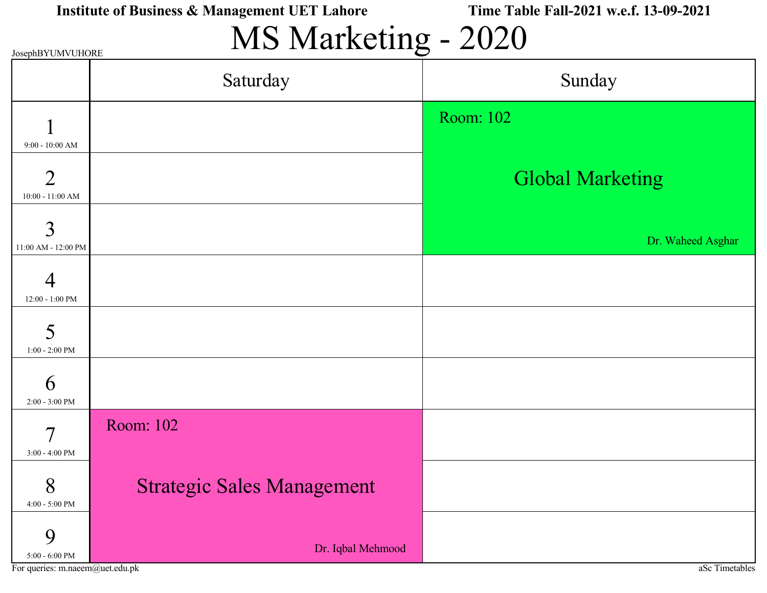| Institute of Business & Management UET Lahore |  |
|-----------------------------------------------|--|
|                                               |  |

Time Table Fall-2021 w.e.f. 13-09-2021

# MS Marketing - 2020

| JosephBYUMVUHORE                            | $\sim$ $\sim$ $\sim$              | $\overline{\mathcal{O}}$ |
|---------------------------------------------|-----------------------------------|--------------------------|
|                                             | Saturday                          | Sunday                   |
|                                             |                                   | Room: 102                |
| $9:00 - 10:00$ AM<br>$\overline{2}$         |                                   |                          |
| $10:00 - 11:00$ AM                          |                                   | <b>Global Marketing</b>  |
| 3<br>11:00 AM - 12:00 PM                    |                                   | Dr. Waheed Asghar        |
| 4                                           |                                   |                          |
| $12:00 - 1:00$ PM<br>5                      |                                   |                          |
| $1:00 - 2:00$ PM                            |                                   |                          |
| 6<br>$2:00 - 3:00$ PM                       |                                   |                          |
| $\overline{7}$                              | Room: 102                         |                          |
| $3:00 - 4:00$ PM                            |                                   |                          |
| 8<br>$4\mathord{:}00$ - $5\mathord{:}00$ PM | <b>Strategic Sales Management</b> |                          |
| 9<br>$5:00$ - $6:00~\mathrm{PM}$            | Dr. Iqbal Mehmood                 |                          |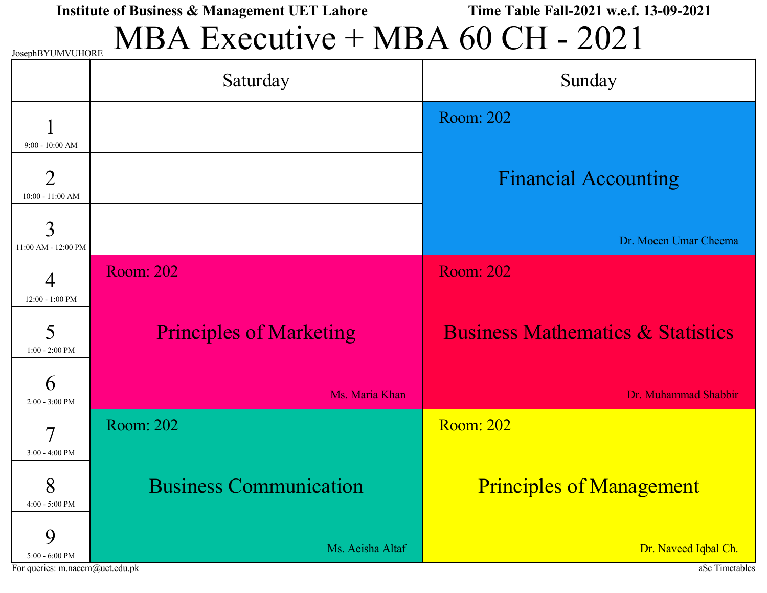MBA Executive + MBA 60 CH - 2021

|                                                           | Saturday                       | Sunday                                       |
|-----------------------------------------------------------|--------------------------------|----------------------------------------------|
|                                                           |                                | <b>Room: 202</b>                             |
| $9:00 - 10:00$ AM<br>$\overline{2}$<br>$10:00 - 11:00$ AM |                                | <b>Financial Accounting</b>                  |
| 3<br>11:00 AM - 12:00 PM                                  |                                | Dr. Moeen Umar Cheema                        |
| $\overline{4}$                                            | <b>Room: 202</b>               | <b>Room: 202</b>                             |
| 12:00 - 1:00 PM<br>5<br>$1:00 - 2:00$ PM                  | <b>Principles of Marketing</b> | <b>Business Mathematics &amp; Statistics</b> |
| 6<br>$2:00 - 3:00$ PM                                     | Ms. Maria Khan                 | Dr. Muhammad Shabbir                         |
| 7                                                         | Room: 202                      | <b>Room: 202</b>                             |
| $3:00 - 4:00$ PM<br>8<br>4:00 - 5:00 PM                   | <b>Business Communication</b>  | <b>Principles of Management</b>              |
| 9<br>$5:00 - 6:00$ PM                                     | Ms. Aeisha Altaf               | Dr. Naveed Iqbal Ch.                         |

For queries: m.naeem@uet.edu.pk and also the set of the set of the set of the set of the set of the set of the set of the set of the set of the set of the set of the set of the set of the set of the set of the set of the s

JosephBYUMVUHORE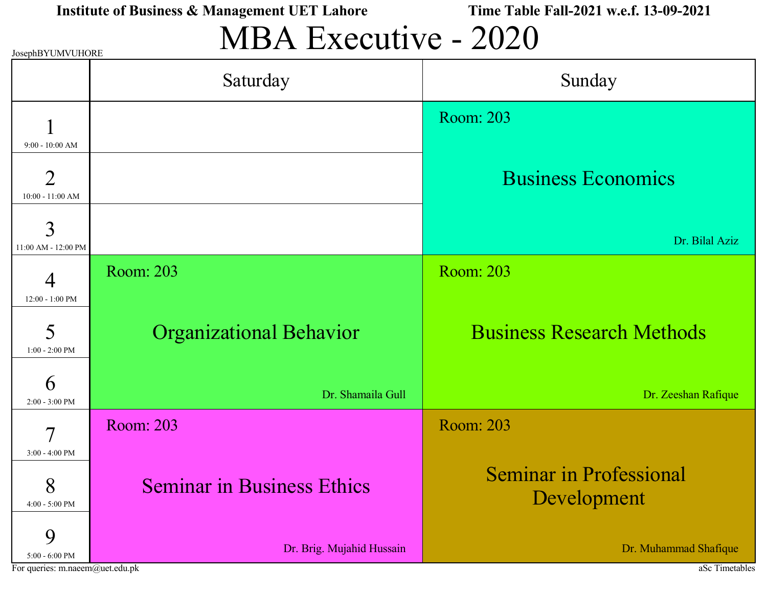# MBA Executive - 2020

| JosephB Y UM V UHORE                     |                                   |                                               |
|------------------------------------------|-----------------------------------|-----------------------------------------------|
|                                          | Saturday                          | Sunday                                        |
| $9:00 - 10:00$ AM                        |                                   | <b>Room: 203</b>                              |
| $\overline{2}$<br>$10:00 - 11:00$ AM     |                                   | <b>Business Economics</b>                     |
| 3<br>11:00 AM - 12:00 PM                 |                                   | Dr. Bilal Aziz                                |
| 4                                        | Room: 203                         | <b>Room: 203</b>                              |
| 12:00 - 1:00 PM<br>5<br>$1:00 - 2:00$ PM | <b>Organizational Behavior</b>    | <b>Business Research Methods</b>              |
| 6<br>$2:00 - 3:00$ PM                    | Dr. Shamaila Gull                 | Dr. Zeeshan Rafique                           |
| 7                                        | Room: 203                         | Room: 203                                     |
| $3:00 - 4:00$ PM<br>8<br>4:00 - 5:00 PM  | <b>Seminar in Business Ethics</b> | <b>Seminar in Professional</b><br>Development |
| 9<br>$5:00 - 6:00$ PM                    | Dr. Brig. Mujahid Hussain         | Dr. Muhammad Shafique                         |

For queries: m.naeem@uet.edu.pk aSc Timetables

 $J_{\text{NHA}}$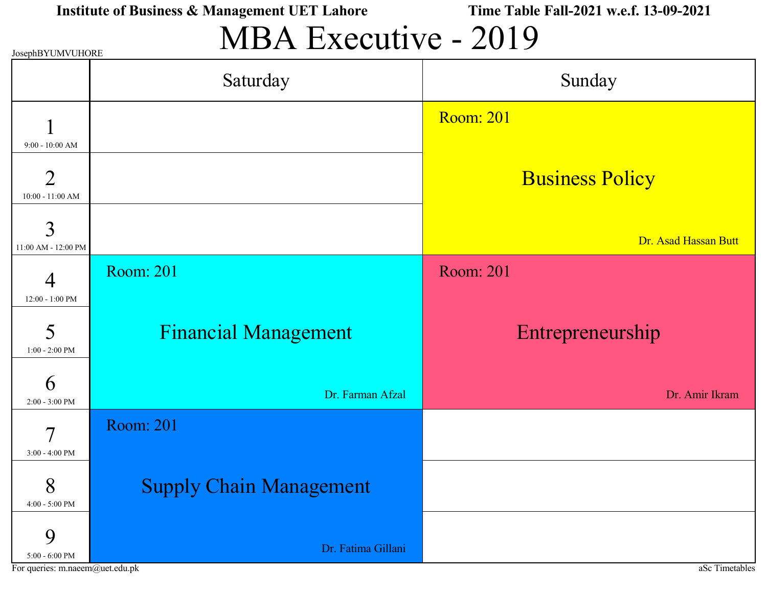# MBA Executive - 2019

| JOSEPHBY UM VUHORE                 |                                |                        |
|------------------------------------|--------------------------------|------------------------|
|                                    | Saturday                       | Sunday                 |
|                                    |                                | <b>Room: 201</b>       |
| $9:00 - 10:00$ AM                  |                                |                        |
| $\overline{2}$<br>10:00 - 11:00 AM |                                | <b>Business Policy</b> |
| 3                                  |                                |                        |
| 11:00 AM - 12:00 PM                |                                | Dr. Asad Hassan Butt   |
| 4                                  | <b>Room: 201</b>               | Room: 201              |
| $12:00 - 1:00$ PM                  |                                |                        |
| 5<br>$1:00 - 2:00$ PM              | <b>Financial Management</b>    | Entrepreneurship       |
|                                    |                                |                        |
| 6<br>$2:00 - 3:00$ PM              | Dr. Farman Afzal               | Dr. Amir Ikram         |
| 7                                  | <b>Room: 201</b>               |                        |
| $3:00 - 4:00$ PM                   |                                |                        |
| 8<br>4:00 - 5:00 PM                | <b>Supply Chain Management</b> |                        |
| 9<br>$5:00$ - $6:00~\mathrm{PM}$   | Dr. Fatima Gillani             |                        |

For queries: m.naeem@uet.edu.pk aSc Timetables

 $\mathbf{D}$ VUD UUMVUHORE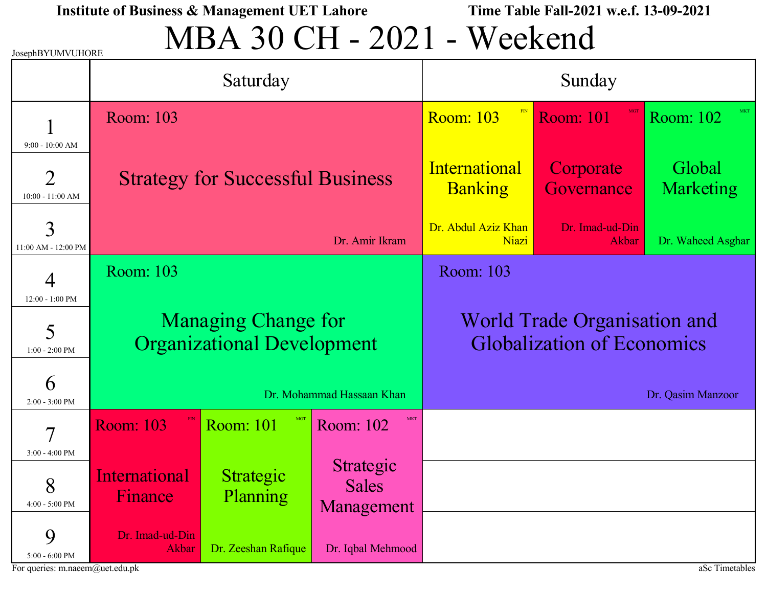# MBA 30 CH - 2021 - Weekend

| JosephBYUMVUHORE                                          |                                                                 |                              |                                         |                                        |                                                                          |                            |  |
|-----------------------------------------------------------|-----------------------------------------------------------------|------------------------------|-----------------------------------------|----------------------------------------|--------------------------------------------------------------------------|----------------------------|--|
|                                                           |                                                                 | Saturday                     |                                         |                                        | Sunday                                                                   |                            |  |
|                                                           | Room: 103                                                       | <b>Room: 103</b>             |                                         |                                        | <b>Room: 101</b>                                                         | Room: 102                  |  |
| $9:00 - 10:00$ AM<br>$\overline{2}$<br>$10:00 - 11:00$ AM | <b>Strategy for Successful Business</b>                         |                              |                                         | <b>International</b><br><b>Banking</b> | Corporate<br>Governance                                                  | Global<br><b>Marketing</b> |  |
| 3<br>11:00 AM - 12:00 PM                                  |                                                                 |                              | Dr. Amir Ikram                          | Dr. Abdul Aziz Khan<br>Niazi           | Dr. Imad-ud-Din<br>Akbar                                                 | Dr. Waheed Asghar          |  |
| 4<br>12:00 - 1:00 PM                                      | Room: 103                                                       |                              |                                         | Room: 103                              |                                                                          |                            |  |
| 5<br>$1:00 - 2:00$ PM                                     | <b>Managing Change for</b><br><b>Organizational Development</b> |                              |                                         |                                        | <b>World Trade Organisation and</b><br><b>Globalization of Economics</b> |                            |  |
| 6<br>$2:00 - 3:00$ PM                                     |                                                                 |                              | Dr. Mohammad Hassaan Khan               |                                        |                                                                          | Dr. Qasim Manzoor          |  |
| 7                                                         | <b>Room: 103</b>                                                | <b>Room: 101</b>             | <b>MKT</b><br>Room: 102                 |                                        |                                                                          |                            |  |
| $3:00 - 4:00$ PM<br>8<br>$4:00$ - $5:00~\mathrm{PM}$      | <u>International</u><br>Finance                                 | Strategic<br><b>Planning</b> | Strategic<br><b>Sales</b><br>Management |                                        |                                                                          |                            |  |
| 9<br>$5:00 - 6:00$ PM<br>For queries: m.naeem@uet.edu.pk  | Dr. Imad-ud-Din<br>Akbar                                        | Dr. Zeeshan Rafique          | Dr. Iqbal Mehmood                       |                                        |                                                                          | aSc Timetables             |  |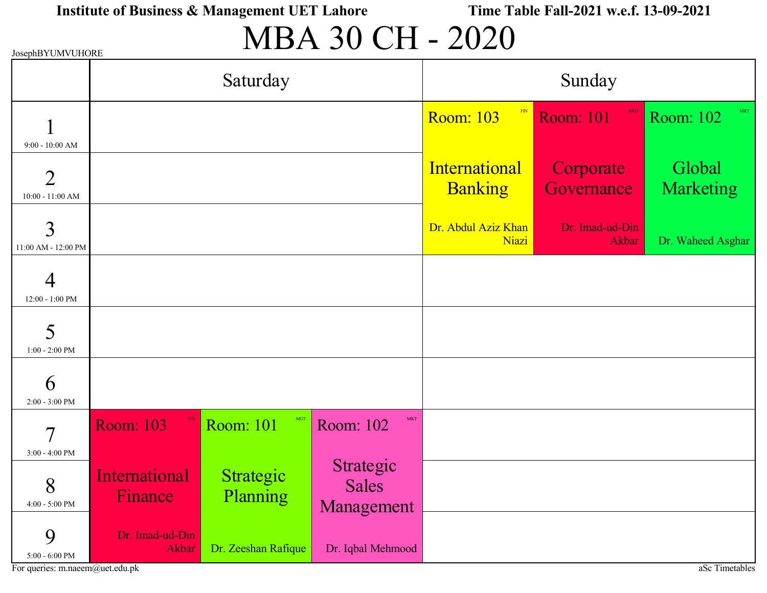# MBA 30 CH - 2020

| JosephBYUMVUHORE                             |                                 |                         |                                         |                                 |                          |                            |
|----------------------------------------------|---------------------------------|-------------------------|-----------------------------------------|---------------------------------|--------------------------|----------------------------|
|                                              |                                 | Saturday                |                                         |                                 | Sunday                   |                            |
| $9:00 - 10:00$ AM                            |                                 |                         |                                         | $-FIN$<br><b>Room: 103</b>      | <b>Room: 101</b>         | <b>MKT</b><br>Room: 102    |
| $\overline{2}$<br>$10:00 - 11:00$ AM         |                                 |                         |                                         | International<br><b>Banking</b> | Corporate<br>Governance  | Global<br><b>Marketing</b> |
| 3<br>11:00 AM - 12:00 PM                     |                                 |                         |                                         | Dr. Abdul Aziz Khan<br>Niazi    | Dr. Imad-ud-Din<br>Akbar | Dr. Waheed Asghar          |
| $12:00 - 1:00$ PM                            |                                 |                         |                                         |                                 |                          |                            |
| 5<br>$1:00 - 2:00$ PM                        |                                 |                         |                                         |                                 |                          |                            |
| 6<br>$2:00 - 3:00$ PM                        |                                 |                         |                                         |                                 |                          |                            |
| $\overline{\mathcal{I}}$<br>$3:00 - 4:00$ PM | <b>Room: 103</b>                | MGT<br><b>Room: 101</b> | <b>MKT</b><br>Room: 102                 |                                 |                          |                            |
| 8<br>$4:00$ - $5:00~\mathrm{PM}$             | <b>International</b><br>Finance | Strategic<br>Planning   | Strategic<br><b>Sales</b><br>Management |                                 |                          |                            |
| 9<br>$5{:}00$ - $6{:}00$ PM                  | Dr. Imad-ud-Din<br>Akbar        | Dr. Zeeshan Rafique     | Dr. Iqbal Mehmood                       |                                 |                          |                            |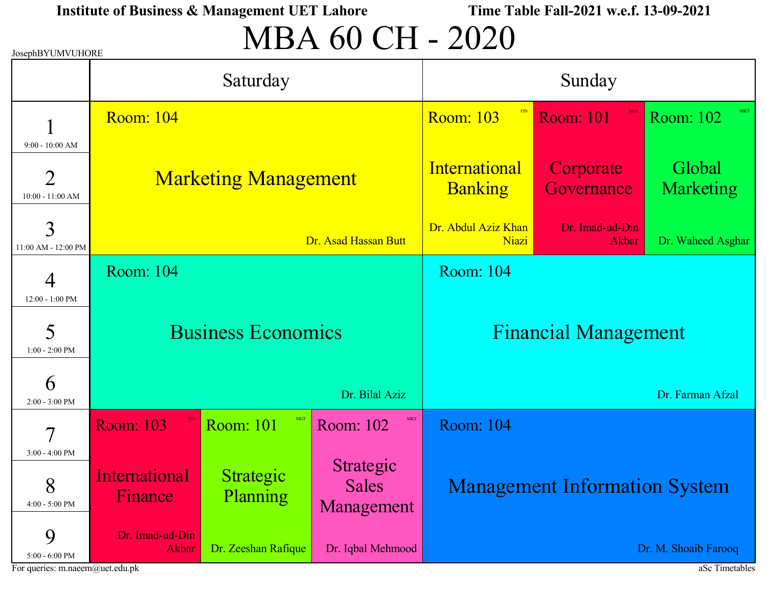# MBA 60 CH - 2020

| JosephBYUMVUHORE                                          |                                 |                                          |                                         |                                 |                                      |                            |
|-----------------------------------------------------------|---------------------------------|------------------------------------------|-----------------------------------------|---------------------------------|--------------------------------------|----------------------------|
|                                                           |                                 | Saturday                                 |                                         |                                 | Sunday                               |                            |
|                                                           | <b>Room: 104</b>                | <b>Room: 103</b>                         |                                         |                                 | <b>Room: 101</b>                     | Room: 102                  |
| $9:00 - 10:00$ AM<br>$\overline{2}$<br>$10:00 - 11:00$ AM | <b>Marketing Management</b>     |                                          |                                         | International<br><b>Banking</b> | Corporate<br>Governance              | Global<br><b>Marketing</b> |
| 3<br>11:00 AM - 12:00 PM                                  |                                 |                                          | Dr. Asad Hassan Butt                    | Dr. Abdul Aziz Khan<br>Niazi    | Dr. Imad-ud-Din<br>Akbar             | Dr. Waheed Asghar          |
| 4                                                         | Room: 104                       |                                          |                                         | <b>Room: 104</b>                |                                      |                            |
| 12:00 - 1:00 PM<br>5<br>$1:00 - 2:00$ PM                  | <b>Business Economics</b>       |                                          |                                         |                                 | <b>Financial Management</b>          |                            |
| 6<br>$2:00 - 3:00$ PM                                     |                                 |                                          | Dr. Bilal Aziz                          |                                 |                                      | Dr. Farman Afzal           |
| 7                                                         | <b>Room: 103</b>                | <b>Room: 101</b>                         | <b>MKT</b><br>Room: 102                 | Room: 104                       |                                      |                            |
| 3:00 - 4:00 PM<br>8<br>4:00 - 5:00 PM                     | <u>International</u><br>Finance | Strategic<br><b>Planning</b>             | Strategic<br><b>Sales</b><br>Management |                                 | <b>Management Information System</b> |                            |
| 9<br>$5:00$ - $6:00~\mathrm{PM}$                          | Dr. Imad-ud-Din<br>Akbar        | Dr. Zeeshan Rafique<br>Dr. Iqbal Mehmood |                                         |                                 |                                      | Dr. M. Shoaib Farooq       |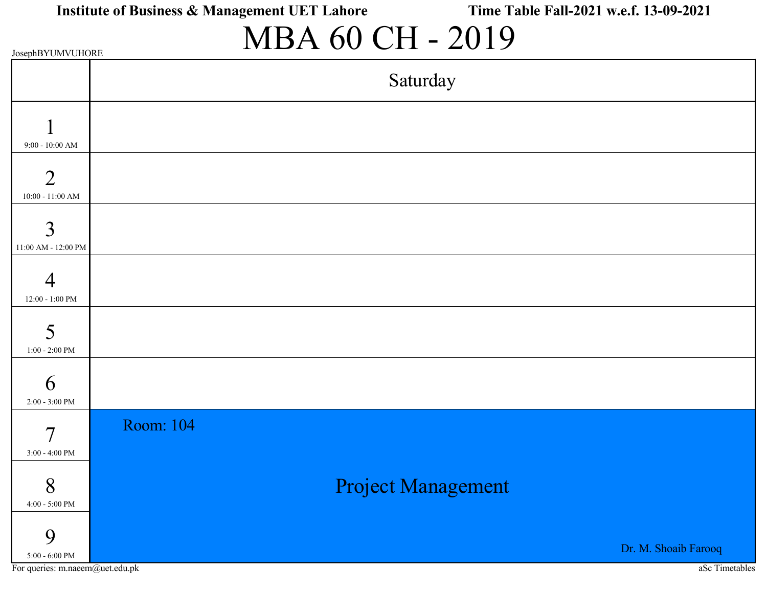## MBA 60 CH - 2019

| JosephBYUMVUHORE |
|------------------|
|------------------|

|                                                                | Saturday                               |
|----------------------------------------------------------------|----------------------------------------|
| $9:00 - 10:00$ AM                                              |                                        |
| $\overline{2}$<br>$10:00 - 11:00$ AM                           |                                        |
| 3<br>11:00 AM - 12:00 PM                                       |                                        |
| Δ<br>$12{:}00$ - $1{:}00$ PM                                   |                                        |
| 5<br>$1:00 - 2:00$ PM                                          |                                        |
| 6<br>$2:00 - 3:00$ PM                                          |                                        |
| 7<br>3:00 - 4:00 PM                                            | Room: 104                              |
| 8<br>$4:00$ - $5:00~\mathrm{PM}$                               | Project Management                     |
| 9<br>$5{:}00$ - $6{:}00$ PM<br>For queries: m.naeem@uet.edu.pk | Dr. M. Shoaib Farooq<br>aSc Timetables |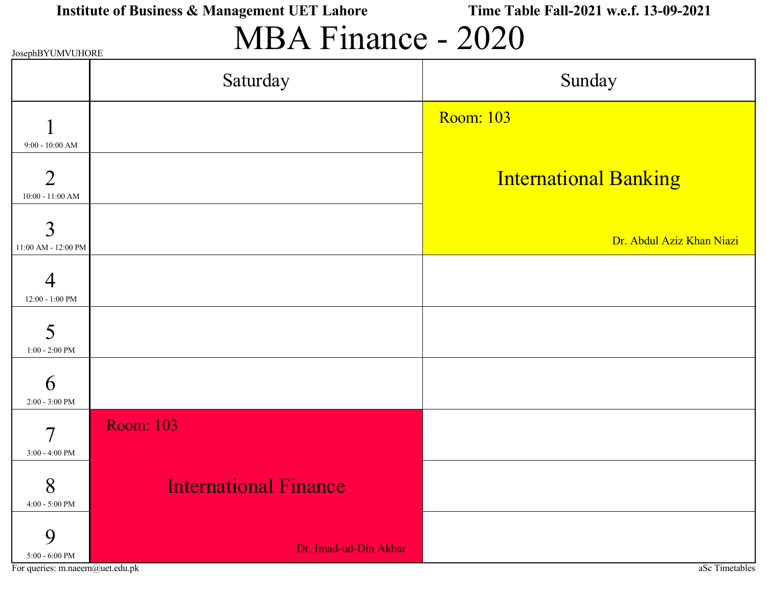## MBA Finance - 2020

|                                                           | JosephBYUMVUHORE             |                              |  |  |  |  |  |  |
|-----------------------------------------------------------|------------------------------|------------------------------|--|--|--|--|--|--|
|                                                           | Saturday                     | Sunday                       |  |  |  |  |  |  |
|                                                           |                              | <b>Room: 103</b>             |  |  |  |  |  |  |
| $9:00 - 10:00$ AM<br>$\overline{2}$<br>$10:00 - 11:00$ AM |                              | <b>International Banking</b> |  |  |  |  |  |  |
| 3<br>11:00 AM - 12:00 PM                                  |                              | Dr. Abdul Aziz Khan Niazi    |  |  |  |  |  |  |
| 4<br>$12:00 - 1:00$ PM                                    |                              |                              |  |  |  |  |  |  |
| 5<br>$1:00 - 2:00$ PM                                     |                              |                              |  |  |  |  |  |  |
| 6<br>$2:00 - 3:00$ PM                                     |                              |                              |  |  |  |  |  |  |
| $\overline{7}$<br>$3:00 - 4:00$ PM                        | <b>Room: 103</b>             |                              |  |  |  |  |  |  |
| 8<br>4:00 - 5:00 PM                                       | <b>International Finance</b> |                              |  |  |  |  |  |  |
| 9<br>$5:00 - 6:00$ PM                                     | Dr. Imad-ud-Din Akbar        |                              |  |  |  |  |  |  |